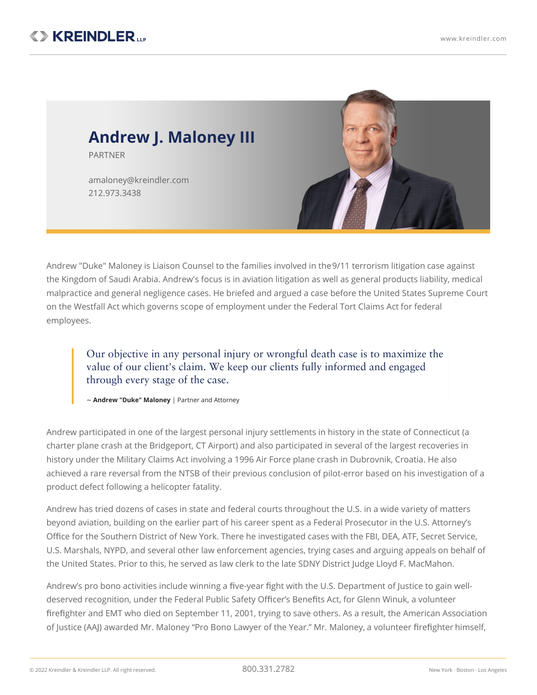

Andrew "Duke" Maloney is Liaison Counsel to the families involved in the9/11 [terrorism](https://www.kreindler.com/articles/door-opens-to-9-11-claims-against-foreign-governments) litigation case against the Kingdom of Saudi Arabia. Andrew's focus is in aviation litigation as well as general products liability, medical malpractice and general negligence cases. He briefed and argued a case before the United States Supreme Court on the Westfall Act which governs scope of employment under the [Federal](https://www.kreindler.com/library/federal-tort-claims-act) Tort Claims Act for federal employees.

Our objective in any personal injury or wrongful death case is to maximize the value of our client's claim. We keep our clients fully informed and engaged through every stage of the case.

~ **Andrew "Duke" Maloney** | Partner and Attorney

Andrew participated in one of the largest personal injury settlements in history in the state of Connecticut (a charter plane crash at the Bridgeport, CT Airport) and also participated in several of the largest recoveries in history under the [Military](https://www.kreindler.com/library/military-claims-act) Claims Act involving a 1996 Air Force plane crash in Dubrovnik, Croatia. He also achieved a rare reversal from the NTSB of their previous conclusion of pilot-error based on his investigation of a product defect following a helicopter fatality.

Andrew has tried dozens of cases in state and federal courts throughout the U.S. in a wide variety of matters beyond aviation, building on the earlier part of his career spent as a Federal Prosecutor in the U.S. Attorney's Office for the Southern District of New York. There he investigated cases with the FBI, DEA, ATF, Secret Service, U.S. Marshals, NYPD, and several other law enforcement agencies, trying cases and arguing appeals on behalf of the United States. Prior to this, he served as law clerk to the late SDNY District Judge Lloyd F. MacMahon.

Andrew's pro bono activities include winning a five-year fight with the U.S. Department of Justice to gain welldeserved recognition, under the Federal Public Safety Officer's Benefits Act, for Glenn Winuk, a volunteer firefighter and EMT who died on September 11, 2001, trying to save others. As a result, the American Association of Justice (AAJ) awarded Mr. Maloney "Pro Bono Lawyer of the Year." Mr. Maloney, a [volunteer](https://www.kreindler.com/articles/andrew-maloney-transformed-by-fire) firefighter himself,